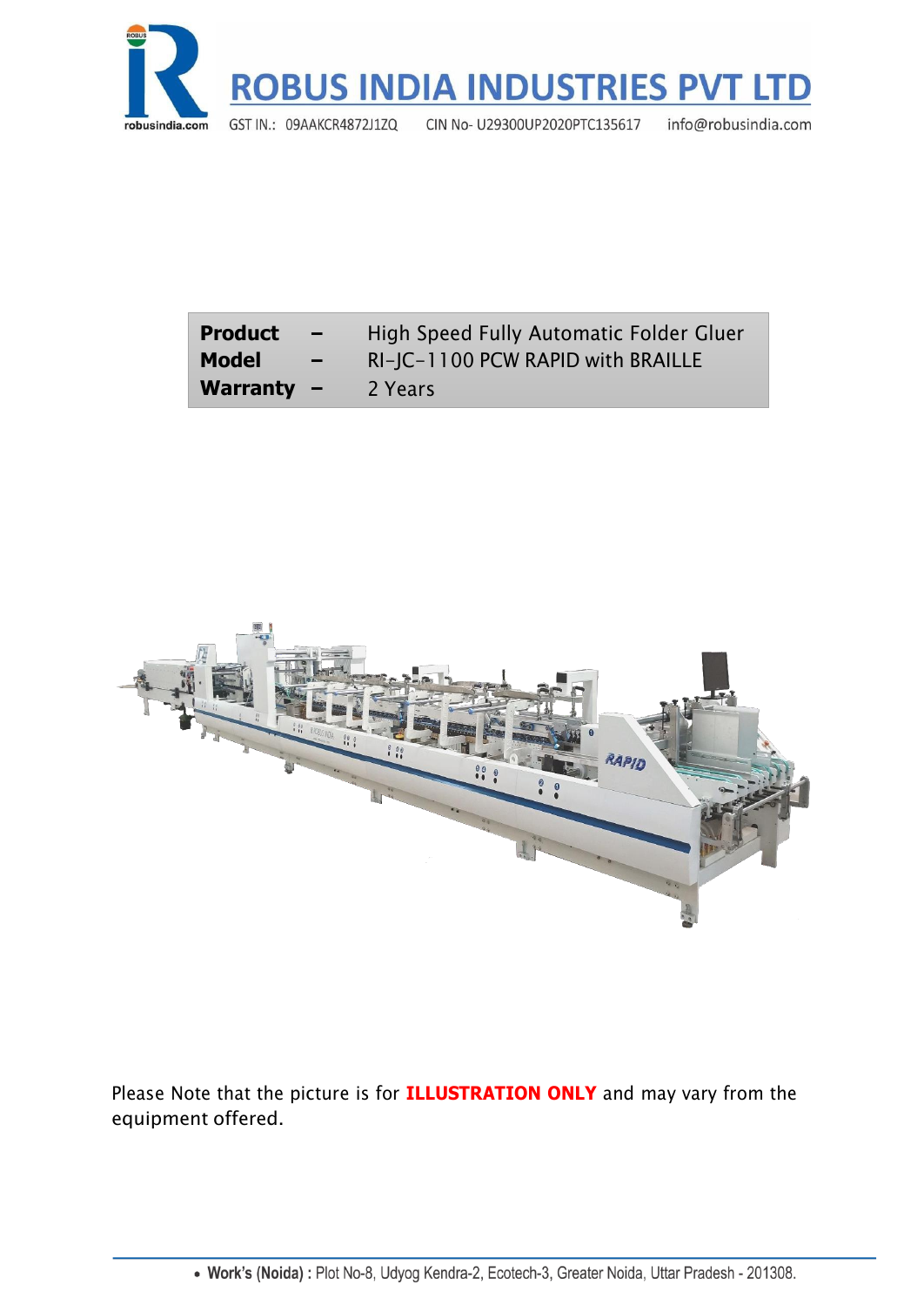

| <b>Product</b><br>$\overline{\phantom{0}}$ | High Speed Fully Automatic Folder Gluer |
|--------------------------------------------|-----------------------------------------|
| <b>Model</b>                               | RI-JC-1100 PCW RAPID with BRAILLE       |
| Warranty $-$                               | 2 Years                                 |



Please Note that the picture is for **ILLUSTRATION ONLY** and may vary from the equipment offered.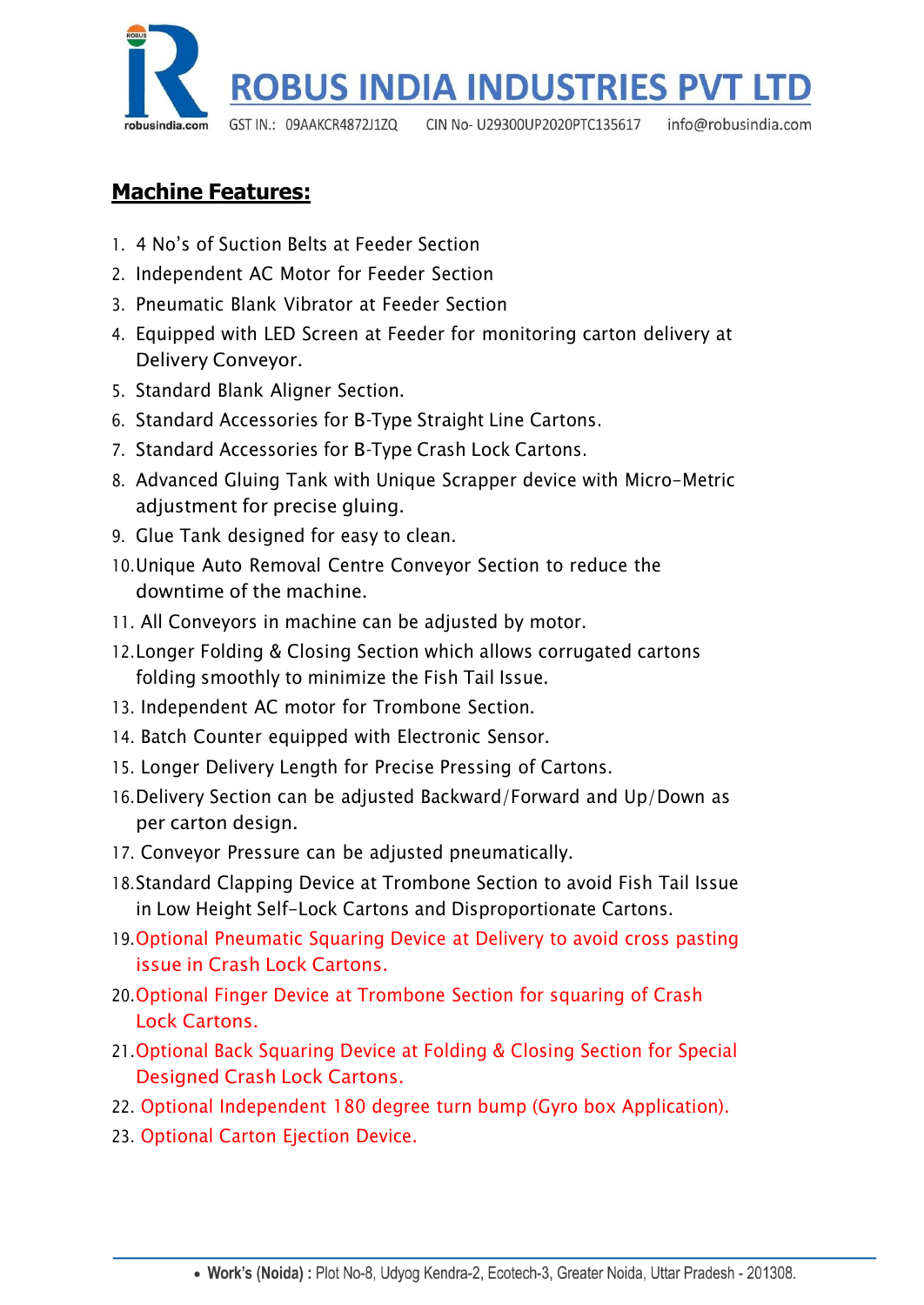

## **Machine Features:**

- 1. 4 No's of Suction Belts at Feeder Section
- 2. Independent AC Motor for Feeder Section
- 3. Pneumatic Blank Vibrator at Feeder Section
- 4. Equipped with LED Screen at Feeder for monitoring carton delivery at Delivery Conveyor.
- 5. Standard Blank Aligner Section.
- 6. Standard Accessories for B-Type Straight Line Cartons.
- 7. Standard Accessories for B-Type Crash Lock Cartons.
- 8. Advanced Gluing Tank with Unique Scrapper device with Micro-Metric adjustment for precise gluing.
- 9. Glue Tank designed for easy to clean.
- 10.Unique Auto Removal Centre Conveyor Section to reduce the downtime of the machine.
- 11. All Conveyors in machine can be adjusted by motor.
- 12.Longer Folding & Closing Section which allows corrugated cartons folding smoothly to minimize the Fish Tail Issue.
- 13. Independent AC motor for Trombone Section.
- 14. Batch Counter equipped with Electronic Sensor.
- 15. Longer Delivery Length for Precise Pressing of Cartons.
- 16.Delivery Section can be adjusted Backward/Forward and Up/Down as per carton design.
- 17. Conveyor Pressure can be adjusted pneumatically.
- 18.Standard Clapping Device at Trombone Section to avoid Fish Tail Issue in Low Height Self-Lock Cartons and Disproportionate Cartons.
- 19.Optional Pneumatic Squaring Device at Delivery to avoid cross pasting issue in Crash Lock Cartons.
- 20.Optional Finger Device at Trombone Section for squaring of Crash Lock Cartons.
- 21.Optional Back Squaring Device at Folding & Closing Section for Special Designed Crash Lock Cartons.
- 22. Optional Independent 180 degree turn bump (Gyro box Application).
- 23. Optional Carton Ejection Device.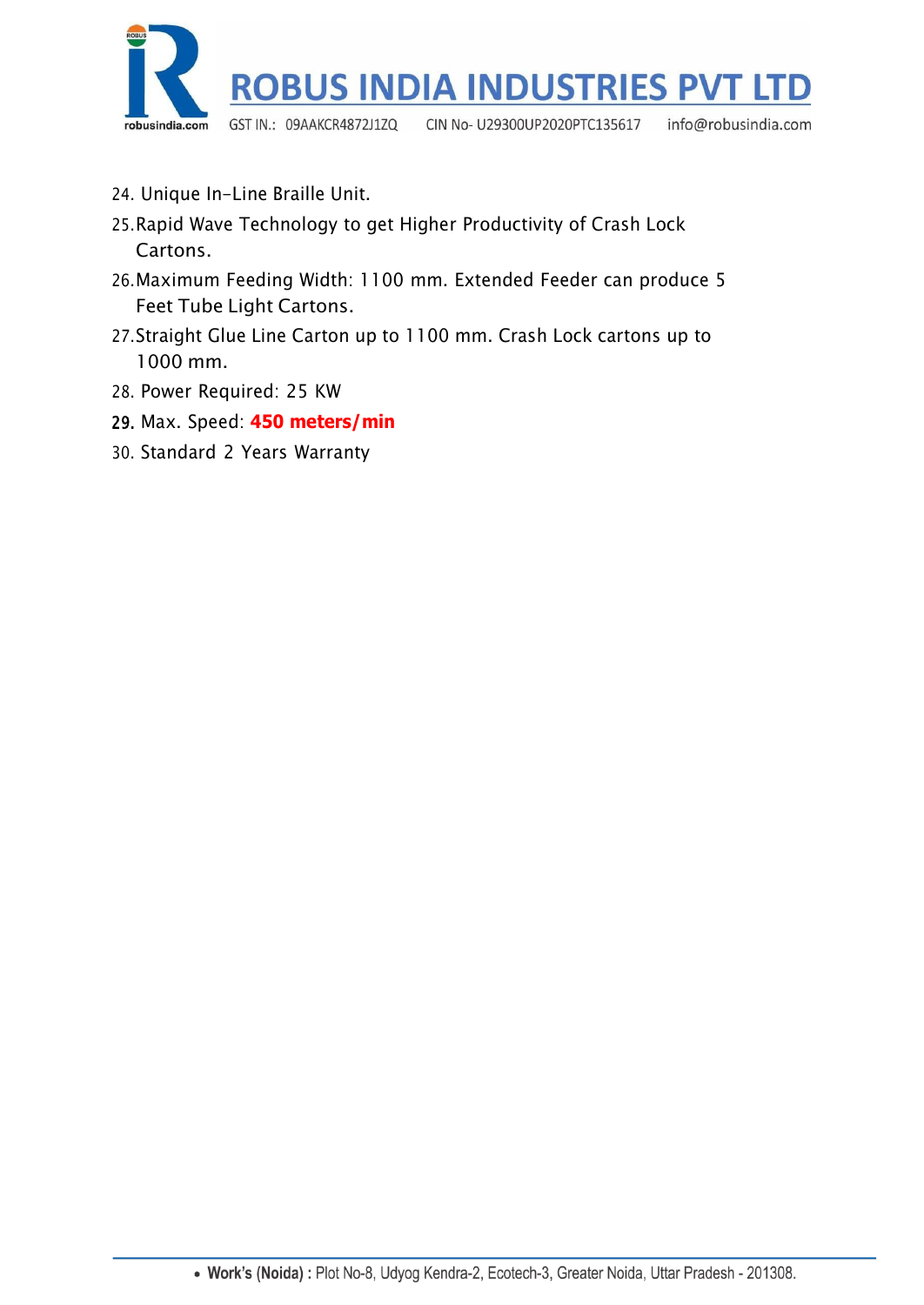

- 24. Unique In-Line Braille Unit.
- 25.Rapid Wave Technology to get Higher Productivity of Crash Lock Cartons.
- 26.Maximum Feeding Width: 1100 mm. Extended Feeder can produce 5 Feet Tube Light Cartons.
- 27.Straight Glue Line Carton up to 1100 mm. Crash Lock cartons up to 1000 mm.
- 28. Power Required: 25 KW
- 29. Max. Speed: **450 meters/min**
- 30. Standard 2 Years Warranty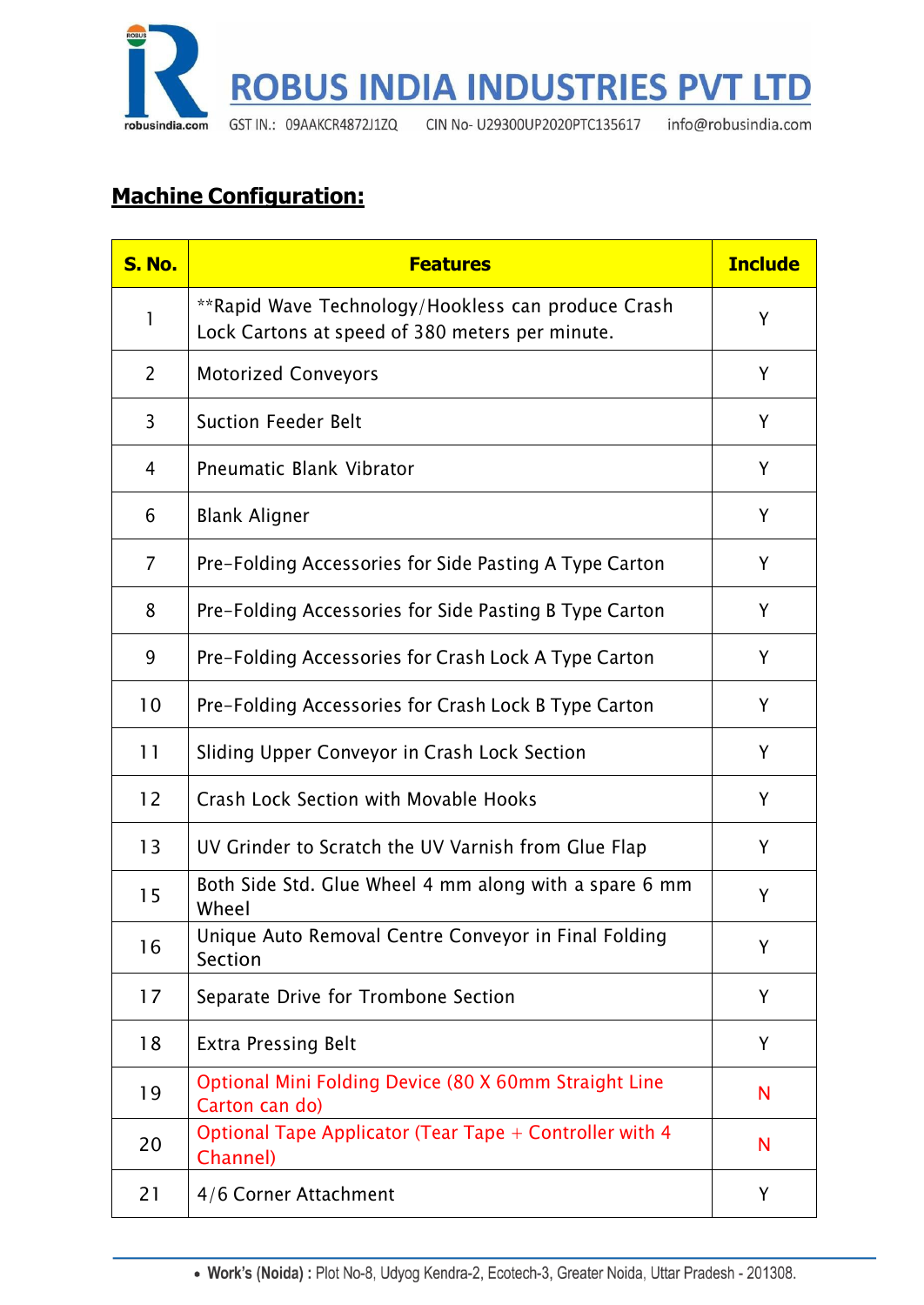

# **Machine Configuration:**

| <b>S. No.</b>  | <b>Features</b>                                                                                       | <b>Include</b> |
|----------------|-------------------------------------------------------------------------------------------------------|----------------|
| 1              | **Rapid Wave Technology/Hookless can produce Crash<br>Lock Cartons at speed of 380 meters per minute. | Y              |
| $\overline{2}$ | <b>Motorized Conveyors</b>                                                                            | Y              |
| 3              | <b>Suction Feeder Belt</b>                                                                            | Y              |
| 4              | <b>Pneumatic Blank Vibrator</b>                                                                       | Y              |
| 6              | <b>Blank Aligner</b>                                                                                  | Y              |
| 7              | Pre-Folding Accessories for Side Pasting A Type Carton                                                | Y              |
| 8              | Pre-Folding Accessories for Side Pasting B Type Carton                                                | Y              |
| 9              | Pre-Folding Accessories for Crash Lock A Type Carton                                                  | Y              |
| 10             | Pre-Folding Accessories for Crash Lock B Type Carton                                                  | Y              |
| 11             | Sliding Upper Conveyor in Crash Lock Section                                                          | Y              |
| 12             | Crash Lock Section with Movable Hooks                                                                 | Y              |
| 13             | UV Grinder to Scratch the UV Varnish from Glue Flap                                                   | Y              |
| 15             | Both Side Std. Glue Wheel 4 mm along with a spare 6 mm<br>Wheel                                       | Y              |
| 16             | Unique Auto Removal Centre Conveyor in Final Folding<br>Section                                       | Y              |
| 17             | Separate Drive for Trombone Section                                                                   | Y              |
| 18             | <b>Extra Pressing Belt</b>                                                                            | Y              |
| 19             | Optional Mini Folding Device (80 X 60mm Straight Line<br>Carton can do)                               | N              |
| 20             | Optional Tape Applicator (Tear Tape + Controller with 4<br>Channel)                                   | N              |
| 21             | 4/6 Corner Attachment                                                                                 | Y              |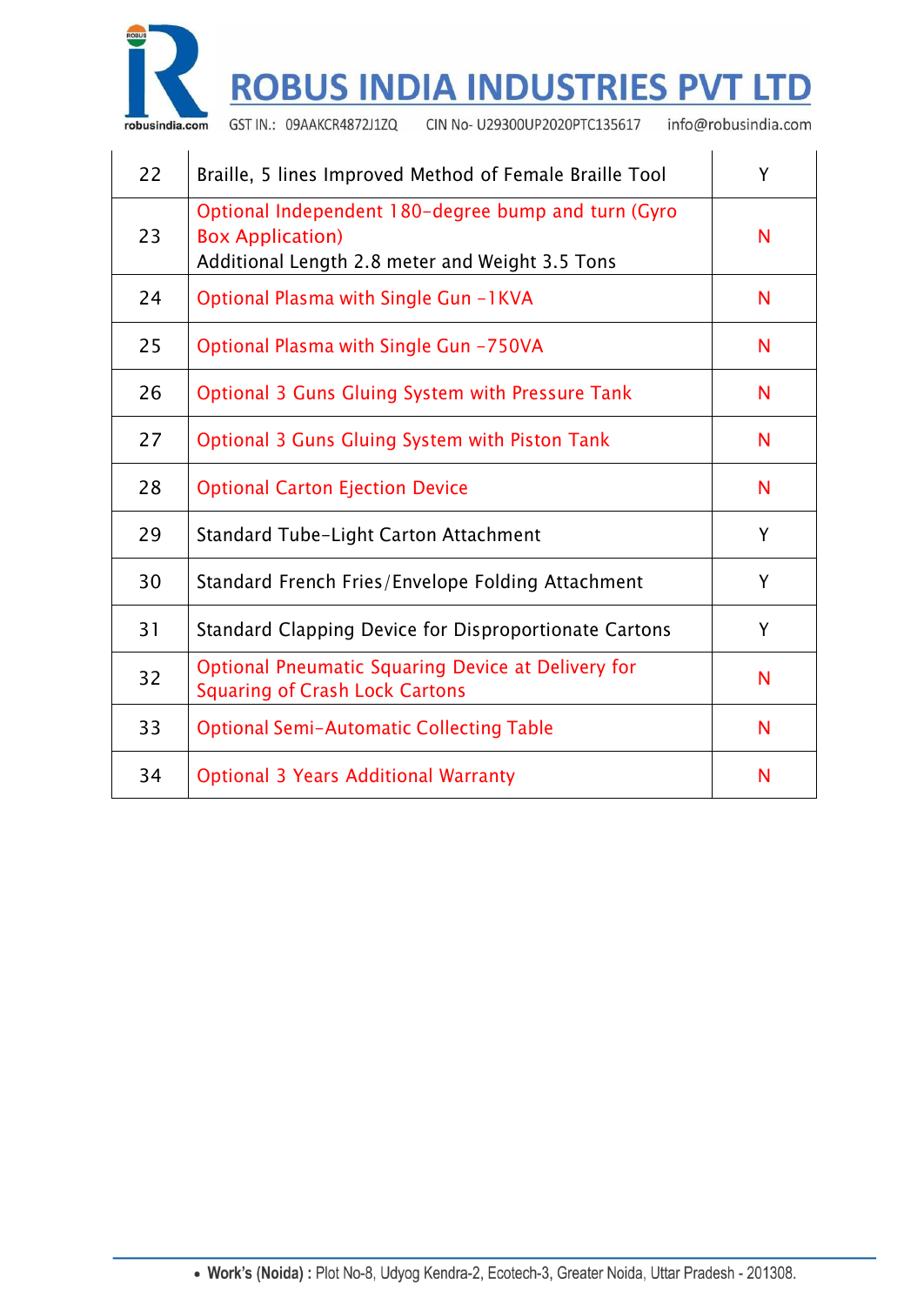

 $\mathcal{L}_{\mathcal{A}}$ 

 $\bar{1}$ 

# **ROBUS INDIA INDUSTRIES PVT LTD**

CIN No- U29300UP2020PTC135617 GST IN.: 09AAKCR4872J1ZQ

info@robusindia.com

 $\ddot{\phantom{a}}$ 

 $\ddot{\phantom{a}}$ 

| 22 | Braille, 5 lines Improved Method of Female Braille Tool                                                                           |   |
|----|-----------------------------------------------------------------------------------------------------------------------------------|---|
| 23 | Optional Independent 180-degree bump and turn (Gyro<br><b>Box Application)</b><br>Additional Length 2.8 meter and Weight 3.5 Tons | N |
| 24 | Optional Plasma with Single Gun -1KVA                                                                                             | N |
| 25 | Optional Plasma with Single Gun -750VA                                                                                            | N |
| 26 | <b>Optional 3 Guns Gluing System with Pressure Tank</b>                                                                           | N |
| 27 | <b>Optional 3 Guns Gluing System with Piston Tank</b>                                                                             | N |
| 28 | <b>Optional Carton Ejection Device</b>                                                                                            | N |
| 29 | <b>Standard Tube-Light Carton Attachment</b>                                                                                      | Y |
| 30 | Standard French Fries/Envelope Folding Attachment                                                                                 | Y |
| 31 | Standard Clapping Device for Disproportionate Cartons                                                                             | Y |
| 32 | <b>Optional Pneumatic Squaring Device at Delivery for</b><br><b>Squaring of Crash Lock Cartons</b>                                | N |
| 33 | <b>Optional Semi-Automatic Collecting Table</b>                                                                                   | N |
| 34 | <b>Optional 3 Years Additional Warranty</b>                                                                                       | N |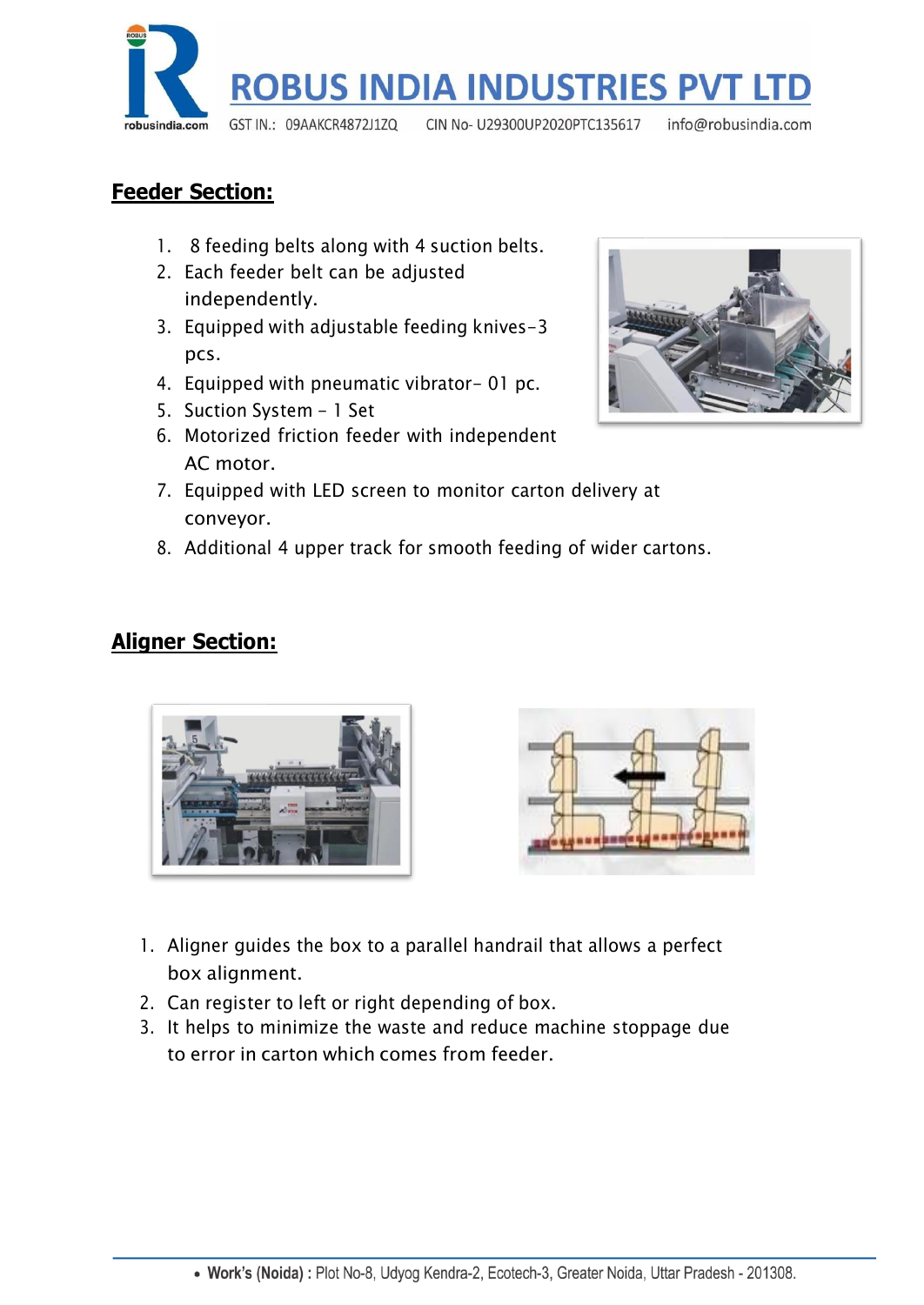

## **Feeder Section:**

- 1. 8 feeding belts along with 4 suction belts.
- 2. Each feeder belt can be adjusted independently.
- 3. Equipped with adjustable feeding knives-3 pcs.
- 4. Equipped with pneumatic vibrator- 01 pc.
- 5. Suction System 1 Set
- 6. Motorized friction feeder with independent AC motor.
- 7. Equipped with LED screen to monitor carton delivery at conveyor.
- 8. Additional 4 upper track for smooth feeding of wider cartons.

## **Aligner Section:**





- 1. Aligner guides the box to a parallel handrail that allows a perfect box alignment.
- 2. Can register to left or right depending of box.
- 3. It helps to minimize the waste and reduce machine stoppage due to error in carton which comes from feeder.

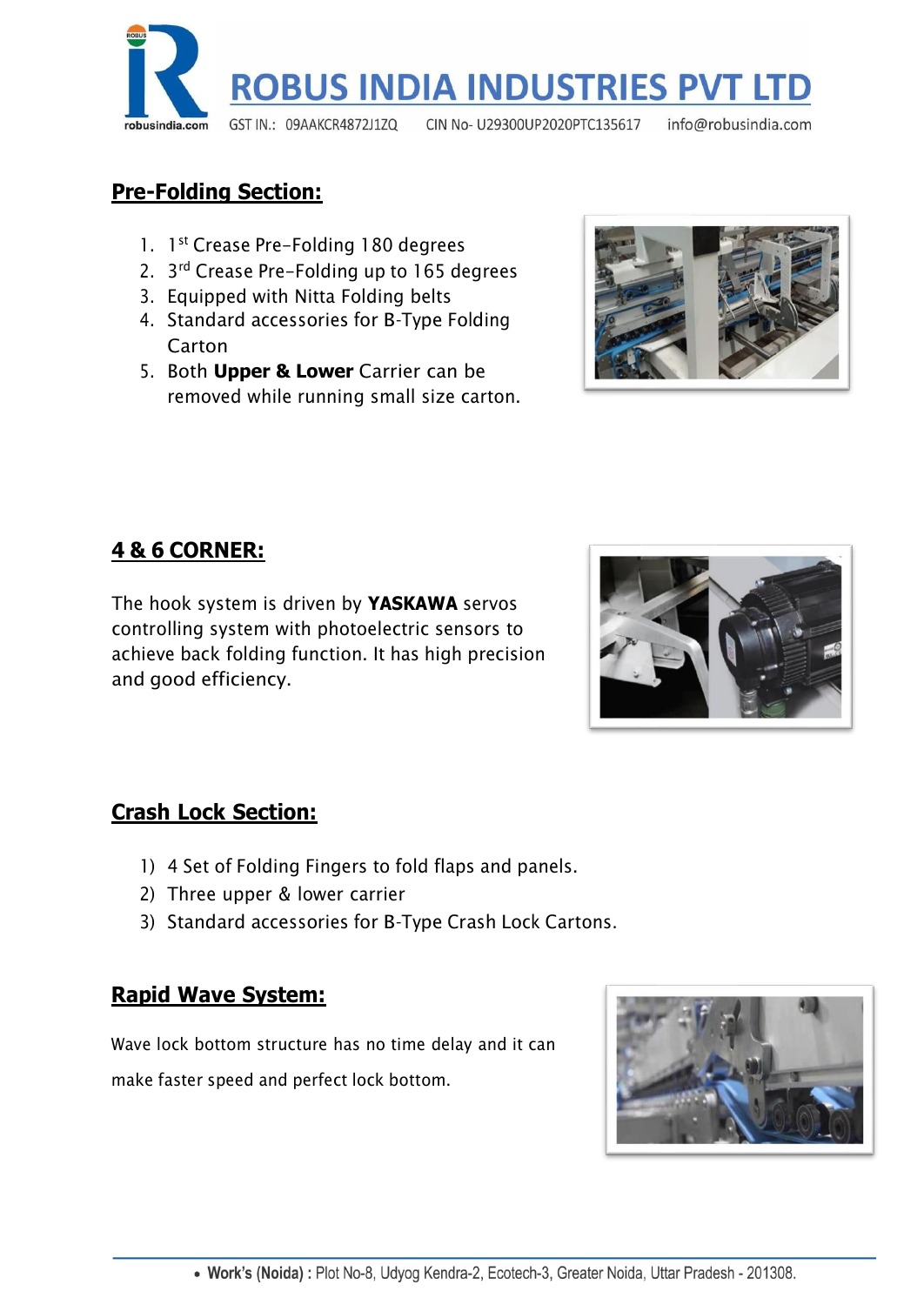

## **Pre-Folding Section:**

- 1. 1<sup>st</sup> Crease Pre-Folding 180 degrees
- 2. 3<sup>rd</sup> Crease Pre-Folding up to 165 degrees
- 3. Equipped with Nitta Folding belts
- 4. Standard accessories for B-Type Folding Carton
- 5. Both **Upper & Lower** Carrier can be removed while running small size carton.



# **4 & 6 CORNER:**

The hook system is driven by **YASKAWA** servos controlling system with photoelectric sensors to achieve back folding function. It has high precision and good efficiency.



# **Crash Lock Section:**

- 1) 4 Set of Folding Fingers to fold flaps and panels.
- 2) Three upper & lower carrier
- 3) Standard accessories for B-Type Crash Lock Cartons.

### **Rapid Wave System:**

Wave lock bottom structure has no time delay and it can make faster speed and perfect lock bottom.

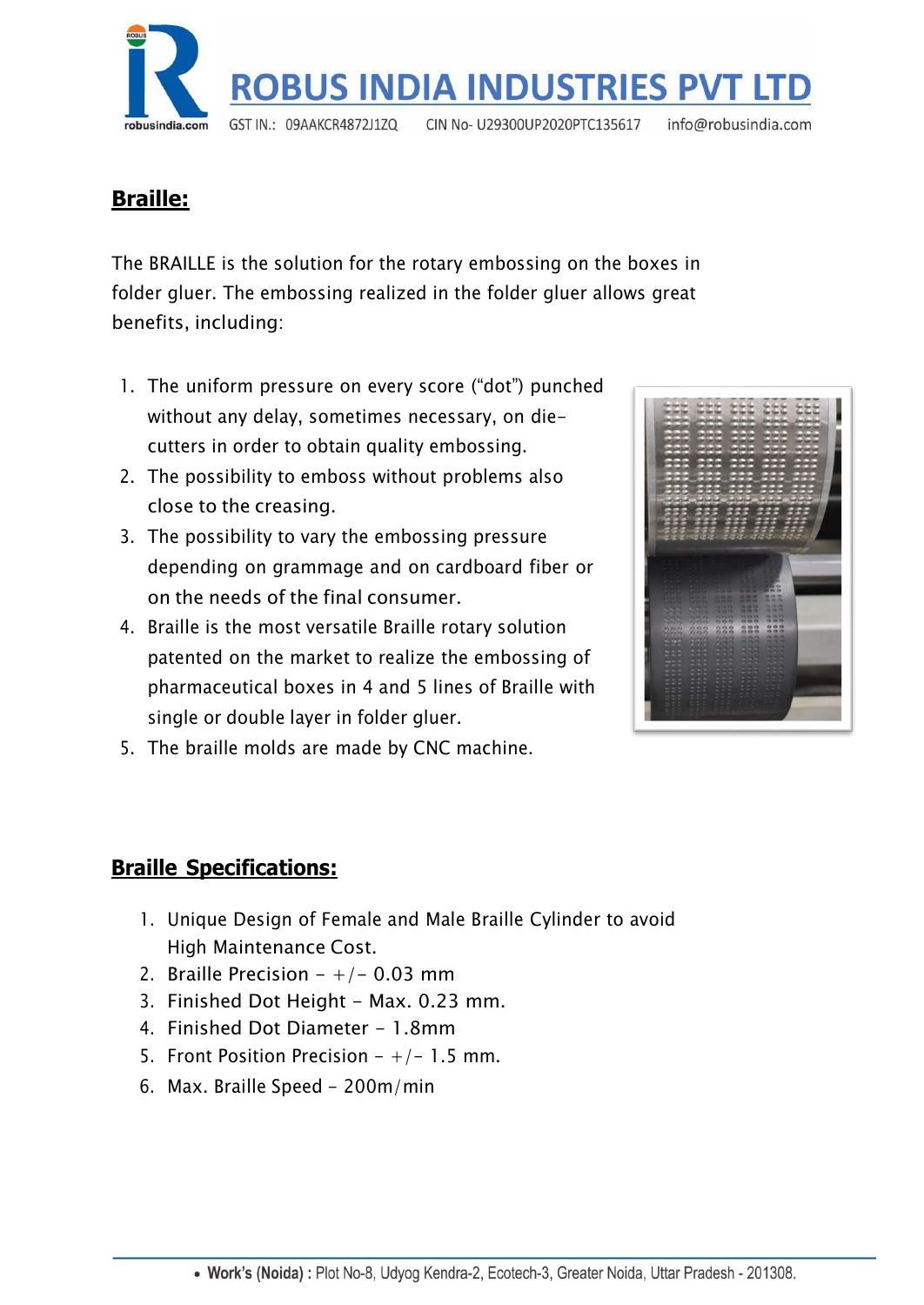

# **Braille:**

The BRAILLE is the solution for the rotary embossing on the boxes in folder gluer. The embossing realized in the folder gluer allows great benefits, including:

- 1. The uniform pressure on every score ("dot") punched without any delay, sometimes necessary, on diecutters in order to obtain quality embossing.
- 2. The possibility to emboss without problems also close to the creasing.
- 3. The possibility to vary the embossing pressure depending on grammage and on cardboard fiber or on the needs of the final consumer.
- 4. Braille is the most versatile Braille rotary solution patented on the market to realize the embossing of pharmaceutical boxes in 4 and 5 lines of Braille with single or double layer in folder gluer.



5. The braille molds are made by CNC machine.

# **Braille Specifications:**

- 1. Unique Design of Female and Male Braille Cylinder to avoid High Maintenance Cost.
- 2. Braille Precision  $-+/-$  0.03 mm
- 3. Finished Dot Height Max. 0.23 mm.
- 4. Finished Dot Diameter 1.8mm
- 5. Front Position Precision  $-+/- 1.5$  mm.
- 6. Max. Braille Speed 200m/min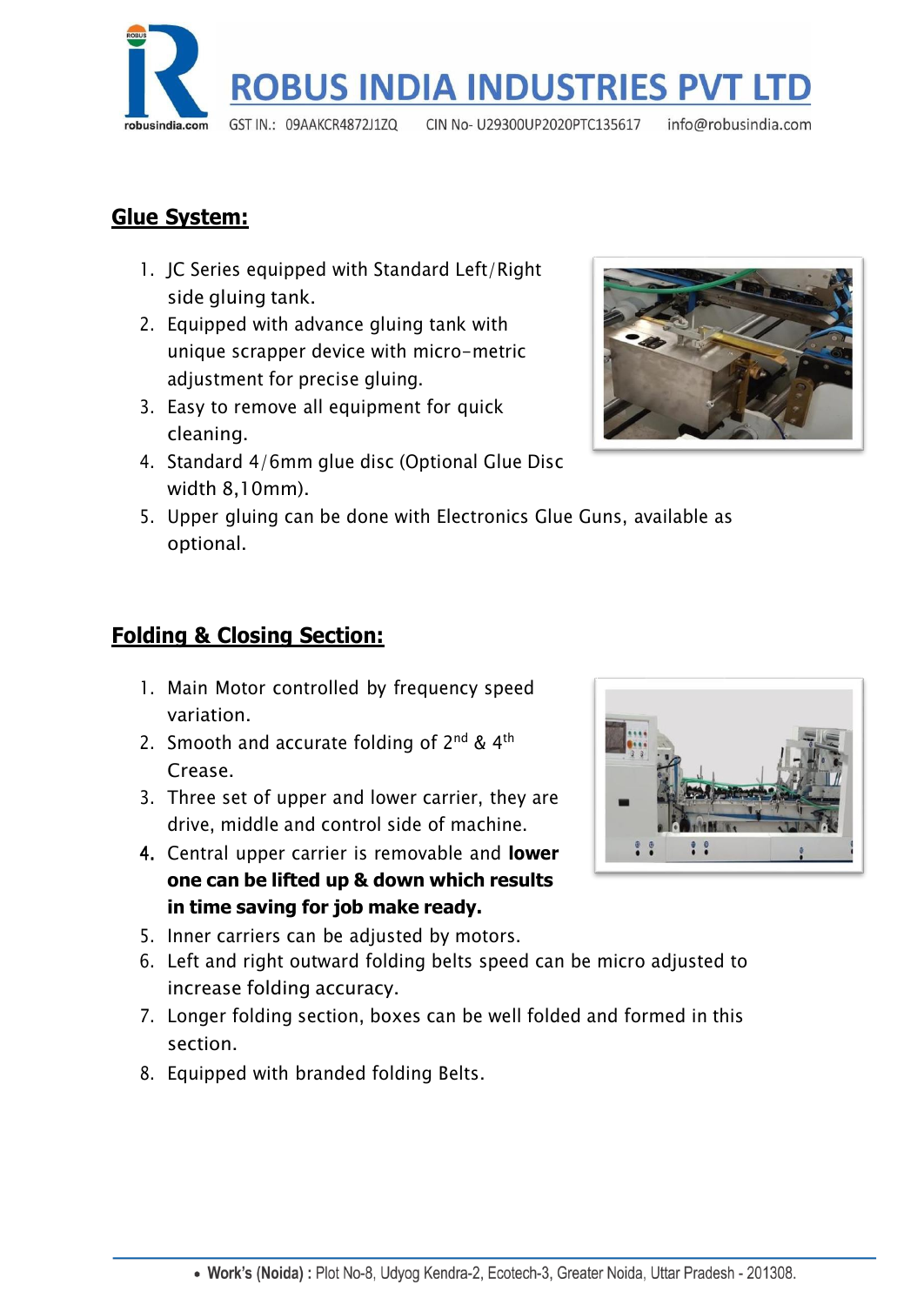

## **Glue System:**

- 1. JC Series equipped with Standard Left/Right side gluing tank.
- 2. Equipped with advance gluing tank with unique scrapper device with micro-metric adjustment for precise gluing.
- 3. Easy to remove all equipment for quick cleaning.
- 4. Standard 4/6mm glue disc (Optional Glue Disc width 8,10mm).



5. Upper gluing can be done with Electronics Glue Guns, available as optional.

## **Folding & Closing Section:**

- 1. Main Motor controlled by frequency speed variation.
- 2. Smooth and accurate folding of  $2^{nd}$  & 4<sup>th</sup> Crease.
- 3. Three set of upper and lower carrier, they are drive, middle and control side of machine.
- 4. Central upper carrier is removable and **lower one can be lifted up & down which results in time saving for job make ready.**
- 5. Inner carriers can be adjusted by motors.
- 6. Left and right outward folding belts speed can be micro adjusted to increase folding accuracy.
- 7. Longer folding section, boxes can be well folded and formed in this section.
- 8. Equipped with branded folding Belts.

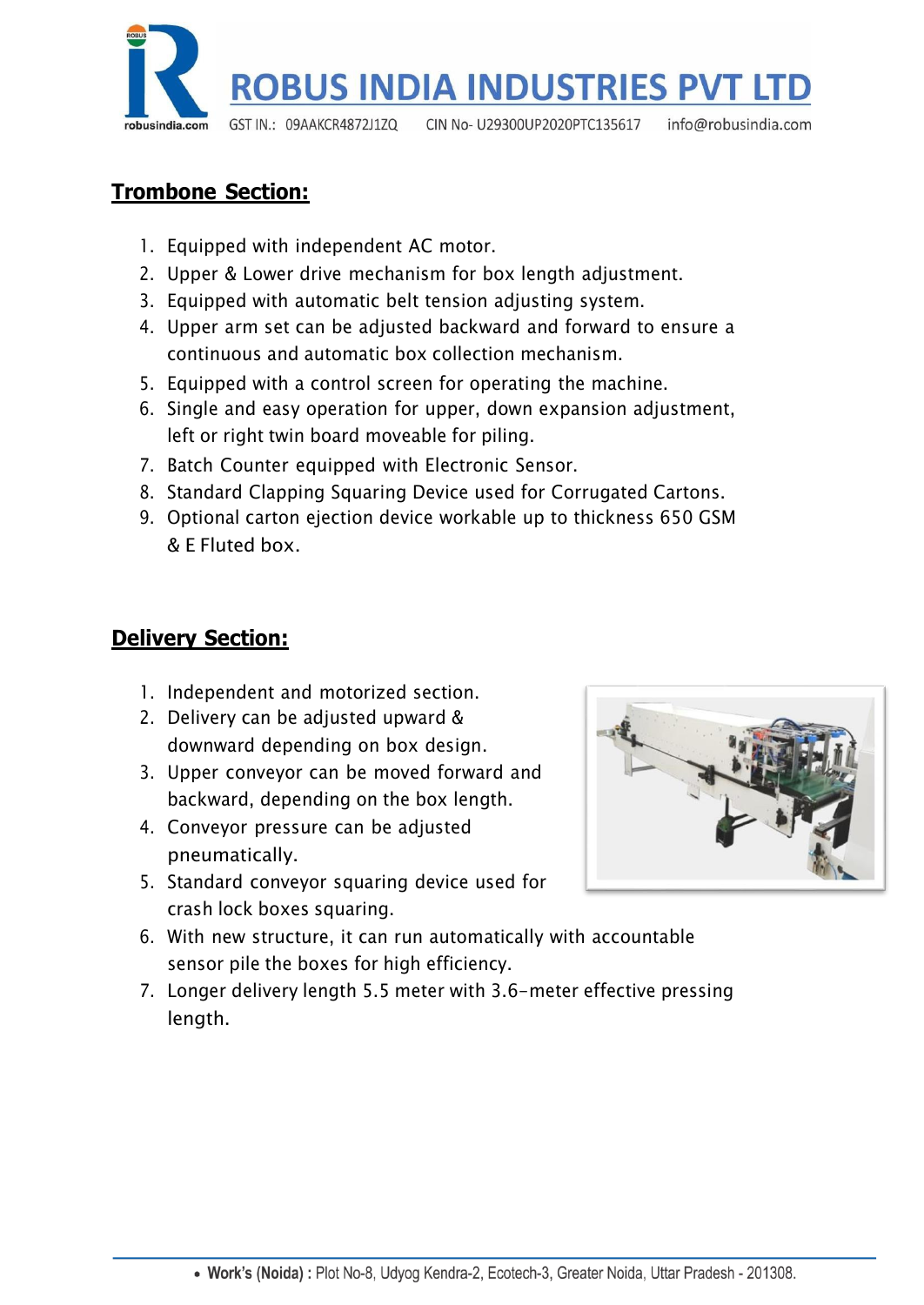

## **Trombone Section:**

- 1. Equipped with independent AC motor.
- 2. Upper & Lower drive mechanism for box length adjustment.
- 3. Equipped with automatic belt tension adjusting system.
- 4. Upper arm set can be adjusted backward and forward to ensure a continuous and automatic box collection mechanism.
- 5. Equipped with a control screen for operating the machine.
- 6. Single and easy operation for upper, down expansion adjustment, left or right twin board moveable for piling.
- 7. Batch Counter equipped with Electronic Sensor.
- 8. Standard Clapping Squaring Device used for Corrugated Cartons.
- 9. Optional carton ejection device workable up to thickness 650 GSM & E Fluted box.

### **Delivery Section:**

- 1. Independent and motorized section.
- 2. Delivery can be adjusted upward & downward depending on box design.
- 3. Upper conveyor can be moved forward and backward, depending on the box length.
- 4. Conveyor pressure can be adjusted pneumatically.
- 5. Standard conveyor squaring device used for crash lock boxes squaring.



- 6. With new structure, it can run automatically with accountable sensor pile the boxes for high efficiency.
- 7. Longer delivery length 5.5 meter with 3.6-meter effective pressing length.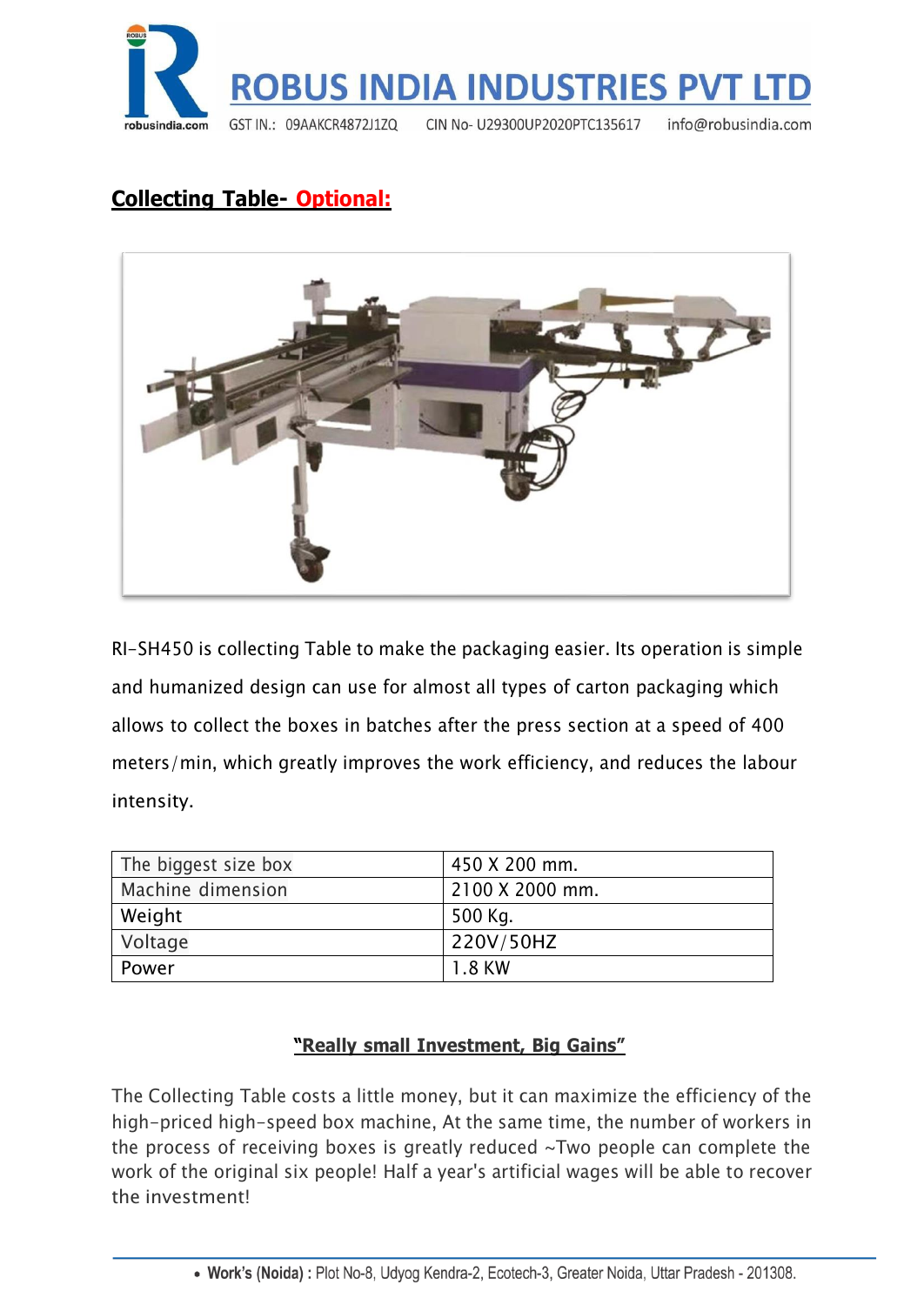

# **Collecting Table- Optional:**



RI-SH450 is collecting Table to make the packaging easier. Its operation is simple and humanized design can use for almost all types of carton packaging which allows to collect the boxes in batches after the press section at a speed of 400 meters/min, which greatly improves the work efficiency, and reduces the labour intensity.

| The biggest size box | 450 X 200 mm.   |
|----------------------|-----------------|
| Machine dimension    | 2100 X 2000 mm. |
| Weight               | 500 Kg.         |
| Voltage              | 220V/50HZ       |
| Power                | 1.8 KW          |

#### **"Really small Investment, Big Gains"**

The Collecting Table costs a little money, but it can maximize the efficiency of the high-priced high-speed box machine, At the same time, the number of workers in the process of receiving boxes is greatly reduced ~Two people can complete the work of the original six people! Half a year's artificial wages will be able to recover the investment!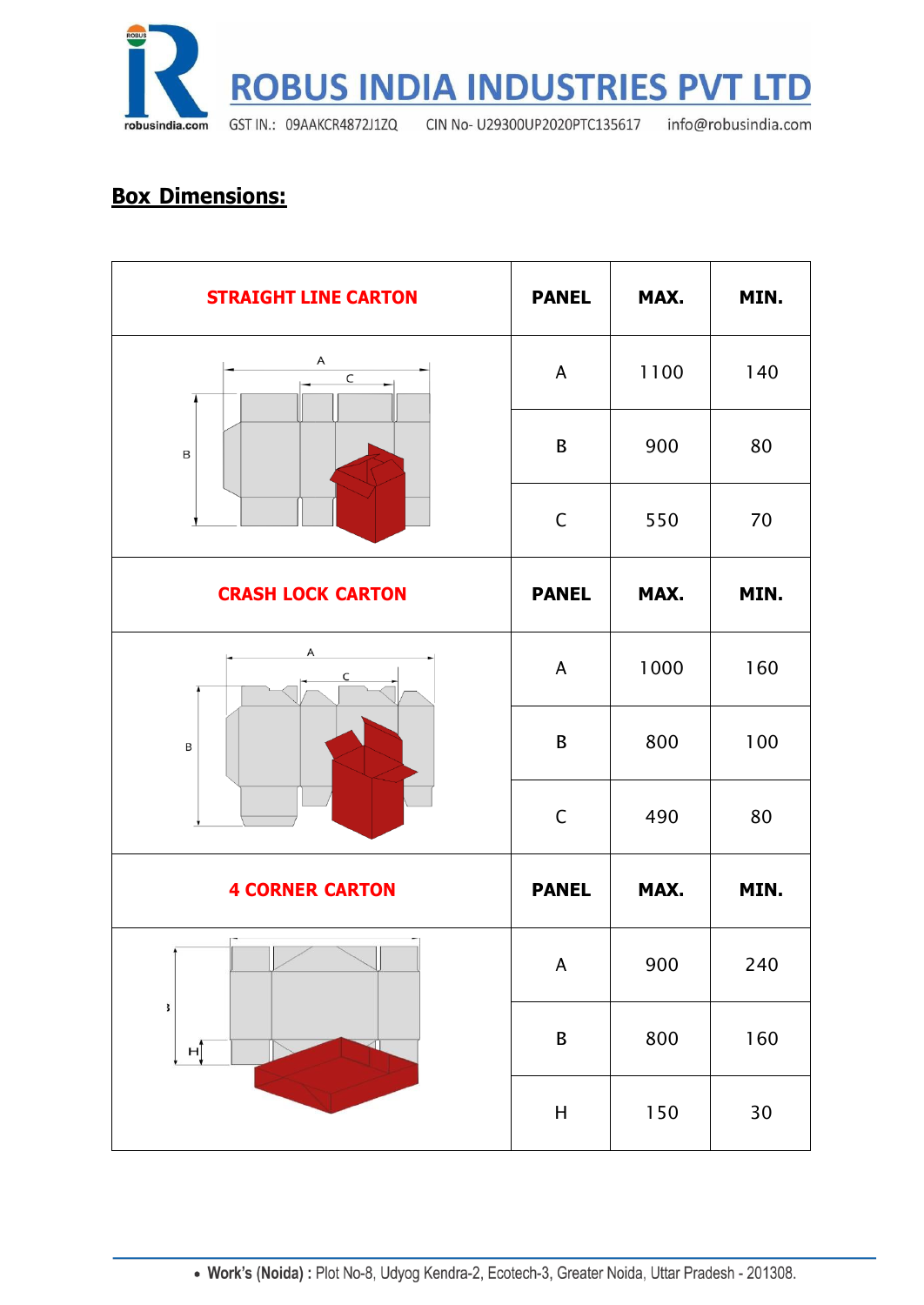

# **Box Dimensions:**

| <b>STRAIGHT LINE CARTON</b> | <b>PANEL</b>              | MAX. | MIN.   |
|-----------------------------|---------------------------|------|--------|
| A<br>$\mathsf C$<br>B       | $\mathsf{A}$              | 1100 | 140    |
|                             | B                         | 900  | 80     |
|                             | $\mathsf C$               | 550  | 70     |
| <b>CRASH LOCK CARTON</b>    | <b>PANEL</b>              | MAX. | MIN.   |
| Α<br>C<br>B                 | A                         | 1000 | 160    |
|                             | B                         | 800  | 100    |
|                             | $\mathsf C$               | 490  | 80     |
| <b>4 CORNER CARTON</b>      | <b>PANEL</b>              | MAX. | MIN.   |
| $\Box$<br>Ш<br>3<br>нĵ      | $\boldsymbol{\mathsf{A}}$ | 900  | 240    |
|                             | $\mathsf B$               | 800  | 160    |
|                             | $\mathsf{H}$              | 150  | $30\,$ |